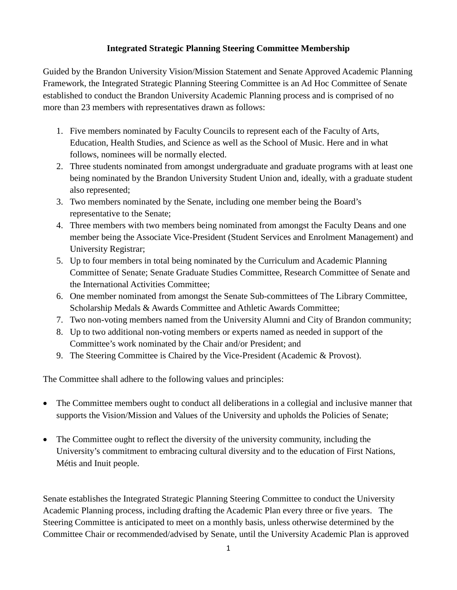# **Integrated Strategic Planning Steering Committee Membership**

Guided by the Brandon University Vision/Mission Statement and Senate Approved Academic Planning Framework, the Integrated Strategic Planning Steering Committee is an Ad Hoc Committee of Senate established to conduct the Brandon University Academic Planning process and is comprised of no more than 23 members with representatives drawn as follows:

- 1. Five members nominated by Faculty Councils to represent each of the Faculty of Arts, Education, Health Studies, and Science as well as the School of Music. Here and in what follows, nominees will be normally elected.
- 2. Three students nominated from amongst undergraduate and graduate programs with at least one being nominated by the Brandon University Student Union and, ideally, with a graduate student also represented;
- 3. Two members nominated by the Senate, including one member being the Board's representative to the Senate;
- 4. Three members with two members being nominated from amongst the Faculty Deans and one member being the Associate Vice-President (Student Services and Enrolment Management) and University Registrar;
- 5. Up to four members in total being nominated by the Curriculum and Academic Planning Committee of Senate; Senate Graduate Studies Committee, Research Committee of Senate and the International Activities Committee;
- 6. One member nominated from amongst the Senate Sub-committees of The Library Committee, Scholarship Medals & Awards Committee and Athletic Awards Committee;
- 7. Two non-voting members named from the University Alumni and City of Brandon community;
- 8. Up to two additional non-voting members or experts named as needed in support of the Committee's work nominated by the Chair and/or President; and
- 9. The Steering Committee is Chaired by the Vice-President (Academic & Provost).

The Committee shall adhere to the following values and principles:

- The Committee members ought to conduct all deliberations in a collegial and inclusive manner that supports the Vision/Mission and Values of the University and upholds the Policies of Senate;
- The Committee ought to reflect the diversity of the university community, including the University's commitment to embracing cultural diversity and to the education of First Nations, Métis and Inuit people.

Senate establishes the Integrated Strategic Planning Steering Committee to conduct the University Academic Planning process, including drafting the Academic Plan every three or five years. The Steering Committee is anticipated to meet on a monthly basis, unless otherwise determined by the Committee Chair or recommended/advised by Senate, until the University Academic Plan is approved